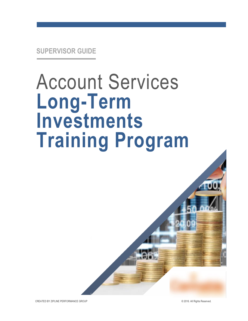# Account Services **Long-Term Investments Training Program**

CREATED BY ZIPLINE PERFORMANCE GROUP © 2016. All Rights Reserved.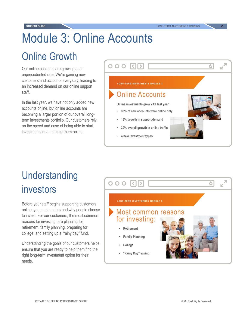## Module 3: Online Accounts

### Online Growth

Our online accounts are growing at an unprecedented rate. We're gaining new customers and accounts every day, leading to an increased demand on our online support staff.

In the last year, we have not only added new accounts online, but online accounts are becoming a larger portion of our overall longterm investments portfolio. Our customers rely on the speed and ease of being able to start investments and manage them online.

| 000 KIN                                   |       |
|-------------------------------------------|-------|
| <b>LONG-TERM INVESTMENTS MODULE 3</b>     |       |
| <b>Online Accounts</b>                    | سيليل |
| Online investments grew 23% last year:    |       |
| 35% of new accounts were online only      |       |
| 18% growth in support demand<br>۰         |       |
| 30% overall growth in online traffic<br>۰ |       |
| 4 new investment types                    |       |
|                                           |       |

## Understanding investors

Before your staff begins supporting customers online, you must understand why people choose to invest. For our customers, the most common reasons for investing are planning for retirement, family planning, preparing for college, and setting up a "rainy day" fund.

Understanding the goals of our customers helps ensure that you are ready to help them find the right long-term investment option for their needs.